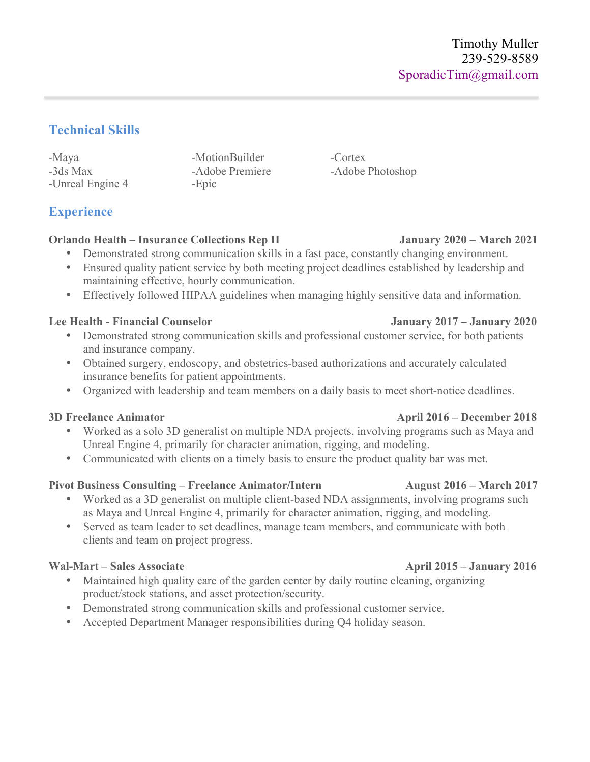## **Technical Skills**

-Maya -MotionBuilder -Cortex -3ds Max -Adobe Premiere -Adobe Photoshop -Unreal Engine 4 -Epic

# **Experience**

## **Orlando Health – Insurance Collections Rep II January 2020 – March 2021**

- Demonstrated strong communication skills in a fast pace, constantly changing environment.
- Ensured quality patient service by both meeting project deadlines established by leadership and maintaining effective, hourly communication.
- Effectively followed HIPAA guidelines when managing highly sensitive data and information.

## **Lee Health - Financial Counselor January 2017 – January 2020**

- Demonstrated strong communication skills and professional customer service, for both patients and insurance company.
- Obtained surgery, endoscopy, and obstetrics-based authorizations and accurately calculated insurance benefits for patient appointments.
- Organized with leadership and team members on a daily basis to meet short-notice deadlines.

- Worked as a solo 3D generalist on multiple NDA projects, involving programs such as Maya and Unreal Engine 4, primarily for character animation, rigging, and modeling.
- Communicated with clients on a timely basis to ensure the product quality bar was met.

## **Pivot Business Consulting – Freelance Animator/Intern August 2016 – March 2017**

- Worked as a 3D generalist on multiple client-based NDA assignments, involving programs such as Maya and Unreal Engine 4, primarily for character animation, rigging, and modeling.
- Served as team leader to set deadlines, manage team members, and communicate with both clients and team on project progress.

## Wal-Mart – Sales Associate **April 2015** – January 2016

- Maintained high quality care of the garden center by daily routine cleaning, organizing product/stock stations, and asset protection/security.
- Demonstrated strong communication skills and professional customer service.
- Accepted Department Manager responsibilities during Q4 holiday season.

### **3D Freelance Animator April 2016 – December 2018**